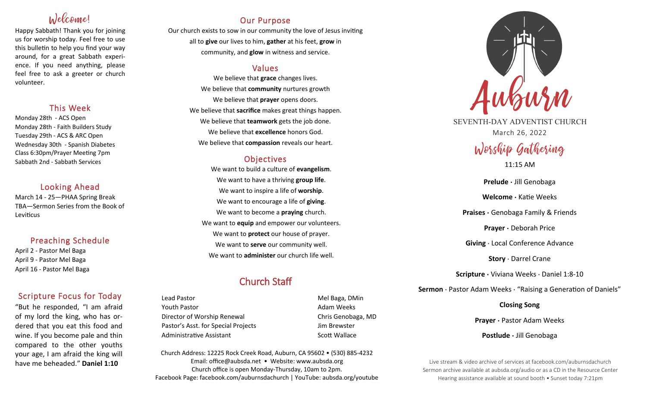# Welcome!

Happy Sabbath! Thank you for joining us for worship today. Feel free to use this bulletin to help you find your way around, for a great Sabbath experience. If you need anything, please feel free to ask a greeter or church volunteer.

## This Week

Monday 28th - ACS Open Monday 28th - Faith Builders Study Tuesday 29th - ACS & ARC Open Wednesday 30th - Spanish Diabetes Class 6:30pm/Prayer Meeting 7pm Sabbath 2nd - Sabbath Services

## Looking Ahead

March 14 - 25—PHAA Spring Break TBA—Sermon Series from the Book of Leviticus

## Preaching Schedule

April 2 - Pastor Mel Baga April 9 - Pastor Mel Baga April 16 - Pastor Mel Baga

## Scripture Focus for Today

"But he responded, "I am afraid of my lord the king, who has ordered that you eat this food and wine. If you become pale and thin compared to the other youths your age, I am afraid the king will have me beheaded." **Daniel 1:10**

## Our Purpose

Our church exists to sow in our community the love of Jesus inviting all to **give** our lives to him, **gather** at his feet, **grow** in community, and **glow** in witness and service.

## Values

We believe that **grace** changes lives. We believe that **community** nurtures growth We believe that **prayer** opens doors. We believe that **sacrifice** makes great things happen. We believe that **teamwork** gets the job done. We believe that **excellence** honors God. We believe that **compassion** reveals our heart.

## **Objectives**

We want to build a culture of **evangelism**. We want to have a thriving **group life**. We want to inspire a life of **worship**. We want to encourage a life of **giving**. We want to become a **praying** church. We want to **equip** and empower our volunteers. We want to **protect** our house of prayer. We want to **serve** our community well. We want to **administer** our church life well.

## Church Staff

Lead Pastor **Mel Baga**, DMin Youth Pastor **Adam Weeks Adam Weeks** Director of Worship Renewal **Chris Genobaga**, MD Pastor's Asst. for Special Projects Jim Brewster Administrative Assistant National Controllery Scott Wallace

Church Address: 12225 Rock Creek Road, Auburn, CA 95602 • (530) 885-4232 Email: office@aubsda.net • Website: www.aubsda.org Church office is open Monday-Thursday, 10am to 2pm. Facebook Page: facebook.com/auburnsdachurch | YouTube: aubsda.org/youtube



SEVENTH-DAY ADVENTIST CHURCH March 26, 2022

# Worship Gathering

11:15 AM

**Prelude ·** Jill Genobaga **Welcome ·** Katie Weeks **Praises ·** Genobaga Family & Friends **Prayer ·** Deborah Price **Giving** · Local Conference Advance **Story** · Darrel Crane **Scripture ·** Viviana Weeks · Daniel 1:8-10

**Sermon** · Pastor Adam Weeks · "Raising a Generation of Daniels"

**Closing Song**

**Prayer ·** Pastor Adam Weeks

**Postlude ·** Jill Genobaga

Live stream & video archive of services at facebook.com/auburnsdachurch Sermon archive available at aubsda.org/audio or as a CD in the Resource Center Hearing assistance available at sound booth • Sunset today 7:21pm